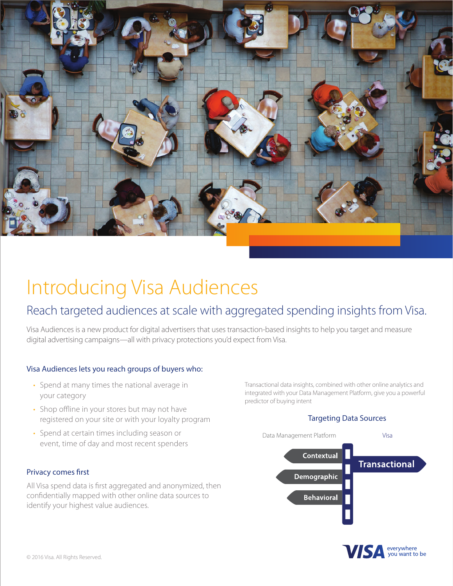

# Introducing Visa Audiences

### Reach targeted audiences at scale with aggregated spending insights from Visa.

Visa Audiences is a new product for digital advertisers that uses transaction-based insights to help you target and measure digital advertising campaigns—all with privacy protections you'd expect from Visa.

#### Visa Audiences lets you reach groups of buyers who:

- Spend at many times the national average in your category
- Shop offline in your stores but may not have registered on your site or with your loyalty program
- Spend at certain times including season or event, time of day and most recent spenders

Privacy comes first

All Visa spend data is first aggregated and anonymized, then confidentially mapped with other online data sources to identify your highest value audiences.

Transactional data insights, combined with other online analytics and integrated with your Data Management Platform, give you a powerful predictor of buying intent

#### Targeting Data Sources